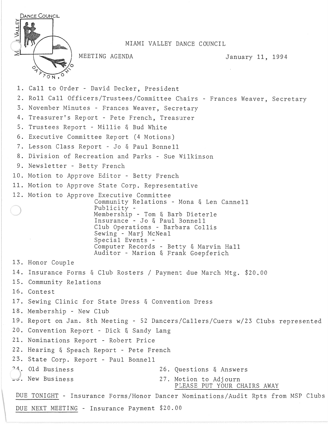| I VALLEY | <b>DANCE COUNCIL</b><br>MEETING AGENDA<br>Ο                                                                                                                                                                   | MIAMI VALLEY DANCE COUNCIL<br>January 11, 1994                                                                            |  |  |  |  |
|----------|---------------------------------------------------------------------------------------------------------------------------------------------------------------------------------------------------------------|---------------------------------------------------------------------------------------------------------------------------|--|--|--|--|
|          | ON,                                                                                                                                                                                                           |                                                                                                                           |  |  |  |  |
|          | 1. Call to Order - David Decker, President                                                                                                                                                                    |                                                                                                                           |  |  |  |  |
|          |                                                                                                                                                                                                               | 2. Roll Call Officers/Trustees/Committee Chairs - Frances Weaver, Secretary                                               |  |  |  |  |
|          | 3. November Minutes - Frances Weaver, Secretary                                                                                                                                                               |                                                                                                                           |  |  |  |  |
|          | 4. Treasurer's Report - Pete French, Treasurer                                                                                                                                                                |                                                                                                                           |  |  |  |  |
|          | 5. Trustees Report - Millie & Bud White                                                                                                                                                                       |                                                                                                                           |  |  |  |  |
|          | 6. Executive Committee Report (4 Motions)                                                                                                                                                                     |                                                                                                                           |  |  |  |  |
|          | 7. Lesson Class Report - Jo & Paul Bonnell                                                                                                                                                                    |                                                                                                                           |  |  |  |  |
|          | 8. Division of Recreation and Parks - Sue Wilkinson                                                                                                                                                           |                                                                                                                           |  |  |  |  |
|          | 9. Newsletter - Betty French                                                                                                                                                                                  |                                                                                                                           |  |  |  |  |
|          | 10. Motion to Approve Editor - Betty French                                                                                                                                                                   |                                                                                                                           |  |  |  |  |
|          | 11. Motion to Approve State Corp. Representative                                                                                                                                                              |                                                                                                                           |  |  |  |  |
|          | 12. Motion to Approve Executive Committee<br>Publicity -<br>Membership - Tom & Barb Dieterle<br>Insurance - Jo & Paul Bonnell<br>Club Operations - Barbara Collis<br>Sewing - Marj McNeal<br>Special Events - | Community Relations - Mona & Len Cannell<br>Computer Records - Betty & Marvin Hall<br>Auditor - Marion & Frank Goepferich |  |  |  |  |
|          | 13. Honor Couple                                                                                                                                                                                              |                                                                                                                           |  |  |  |  |
|          | 14. Insurance Forms & Club Rosters / Payment due March Mtg. \$20.00                                                                                                                                           |                                                                                                                           |  |  |  |  |
|          | 15. Community Relations                                                                                                                                                                                       |                                                                                                                           |  |  |  |  |
|          | 16. Contest                                                                                                                                                                                                   |                                                                                                                           |  |  |  |  |
|          | 17. Sewing Clinic for State Dress & Convention Dress                                                                                                                                                          |                                                                                                                           |  |  |  |  |
|          | 18. Membership - New Club                                                                                                                                                                                     |                                                                                                                           |  |  |  |  |
|          | 19. Report on Jan. 8th Meeting - 52 Dancers/Callers/Cuers w/23 Clubs represented                                                                                                                              |                                                                                                                           |  |  |  |  |
|          | 20. Convention Report - Dick & Sandy Lang                                                                                                                                                                     |                                                                                                                           |  |  |  |  |
|          | 21. Nominations Report - Robert Price                                                                                                                                                                         |                                                                                                                           |  |  |  |  |
|          | 22. Hearing & Speach Report - Pete French                                                                                                                                                                     |                                                                                                                           |  |  |  |  |
|          | 23. State Corp. Report - Paul Bonnell                                                                                                                                                                         |                                                                                                                           |  |  |  |  |
|          | 24. Old Business                                                                                                                                                                                              | 26. Questions & Answers                                                                                                   |  |  |  |  |
|          | 23. New Business                                                                                                                                                                                              | 27. Motion to Adjourn<br>PLEASE PUT YOUR CHAIRS AWAY                                                                      |  |  |  |  |
|          |                                                                                                                                                                                                               | DUE TONIGHT - Insurance Forms/Honor Dancer Nominations/Audit Rpts from MSP Clubs                                          |  |  |  |  |

DUE NEXT MEETING - Insurance Payment \$20.00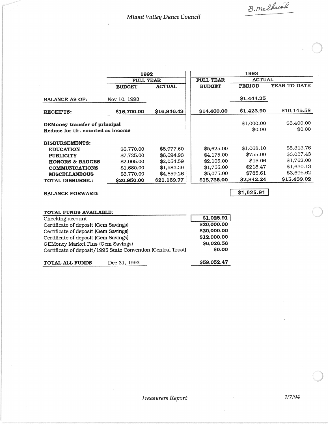B. melhursk

## *Miami Valley Dance Council*

|                                   | 1992             |               | 1993             |               |              |
|-----------------------------------|------------------|---------------|------------------|---------------|--------------|
|                                   | <b>FULL YEAR</b> |               | <b>FULL YEAR</b> | <b>ACTUAL</b> |              |
|                                   | <b>BUDGET</b>    | <b>ACTUAL</b> | <b>BUDGET</b>    | <b>PERIOD</b> | YEAR-TO-DATE |
| <b>BALANCE AS OF:</b>             | Nov 10, 1993     |               |                  | \$1,444.25    |              |
| <b>RECEIPTS:</b>                  | \$16,700.00      | \$16,846.43   | \$14,460.00      | \$1,423.90    | \$10,145.58  |
| GEMoney transfer of principal     |                  |               |                  | \$1,000.00    | \$5,400.00   |
| Reduce for tfr. counted as income |                  |               |                  | \$0.00        | \$0.00       |
| DISBURSEMENTS:                    |                  |               |                  |               |              |
| <b>EDUCATION</b>                  | \$5,770.00       | \$5,977.60    | \$5,625.00       | \$1,068.10    | \$5,313.76   |
| <b>PUBLICITY</b>                  | \$7,725.00       | \$6,694.93    | \$4.175.00       | \$755.00      | \$3,037.43   |
| <b>HONORS &amp; BADGES</b>        | \$2,005.00       | \$2,054.59    | \$2,105.00       | \$15.06       | \$1,762.08   |
| <b>COMMUNICATIONS</b>             | \$1,680.00       | \$1,583.39    | \$1,755.00       | \$218.47      | \$1,630.13   |
| <b>MISCELLANEOUS</b>              | \$3,770.00       | \$4,859.26    | \$5,075.00       | \$785.61      | \$3,695.62   |
| <b>TOTAL DISBURSE.:</b>           | \$20,950.00      | \$21,169.77   | \$18,735.00      | \$2.842.24    | \$15,439.02  |

BALANCE FORWARD:

\$1,025.91

| <b>TOTAL FUNDS AVAILABLE:</b>                                |             |
|--------------------------------------------------------------|-------------|
| Checking account                                             | \$1,025.91  |
| Certificate of deposit (Gem Savings)                         | \$20,000.00 |
| Certificate of deposit (Gem Savings)                         | \$20,000.00 |
| Certificate of deposit (Gem Savings)                         | \$12,000.00 |
| GEMoney Market Plus (Gem Savings)                            | \$6,026.56  |
| Certificate of deposit/1995 State Convention (Central Trust) | \$0.00      |
| Dec 31, 1993<br><b>TOTAL ALL FUNDS</b>                       | \$59,052.47 |

 $\bar{z}$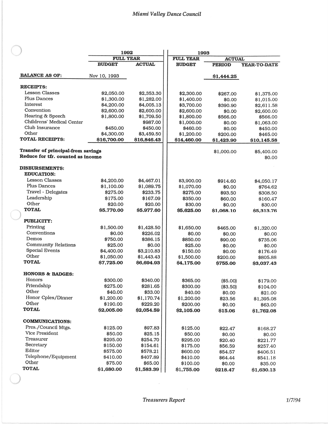|                                                                         | 1992             |               | 1993                              |                 |                      |  |
|-------------------------------------------------------------------------|------------------|---------------|-----------------------------------|-----------------|----------------------|--|
|                                                                         | <b>FULL YEAR</b> |               | <b>FULL YEAR</b><br><b>ACTUAL</b> |                 |                      |  |
|                                                                         | <b>BUDGET</b>    | <b>ACTUAL</b> | <b>BUDGET</b>                     | <b>PERIOD</b>   | <b>YEAR-TO-DATE</b>  |  |
| <b>BALANCE AS OF:</b>                                                   | Nov 10, 1993     |               |                                   | \$1,444.25      |                      |  |
| <b>RECEIPTS:</b>                                                        |                  |               |                                   |                 |                      |  |
| <b>Lesson Classes</b>                                                   | \$2,050.00       | \$2,353.30    | \$2,300.00                        | \$267.00        | \$1,375.00           |  |
| Plus Dances                                                             | \$1,300.00       | \$1,282.00    | \$1,400.00                        | \$0.00          | \$1,015.00           |  |
| Interest                                                                | \$4,200.00       | \$4,005.13    | \$3,700.00                        | \$390.90        | \$2,611.58           |  |
| Convention                                                              | \$2,600.00       | \$2,600.00    | \$2,600.00                        | \$0.00          | \$2,600.00           |  |
| Hearing & Speech                                                        | \$1,800.00       | \$1,709.50    | \$1,800.00                        | \$566.00        | \$566.00             |  |
| Childrens' Medical Center                                               |                  | \$987.00      | \$1,000.00                        | \$0.00          | \$1,063.00           |  |
| Club Insurance                                                          | \$450.00         | \$450.00      | \$460.00                          | \$0.00          | \$450.00             |  |
| Other                                                                   | \$4,300.00       | \$3,459.50    | \$1,200.00                        | \$200.00        | \$465.00             |  |
| <b>TOTAL RECEIPTS:</b>                                                  | \$16,700.00      | \$16,846.43   | \$14,460.00                       | \$1,423.90      | \$10,145.58          |  |
| Transfer of principal-from savings<br>Reduce for tfr. counted as income |                  |               |                                   | \$1,000.00      | \$5,400.00<br>\$0.00 |  |
| <b>DISBURSEMENTS:</b><br><b>EDUCATION:</b>                              |                  |               |                                   |                 |                      |  |
| <b>Lesson Classes</b>                                                   | \$4,200.00       | \$4,467.01    | \$3,900.00                        | \$914.60        | \$4,050.17           |  |
| <b>Plus Dances</b>                                                      | \$1,100.00       | \$1,089.75    | \$1,070.00                        | \$0.00          | \$764.62             |  |
| Travel - Delegates                                                      | \$275.00         | \$233.75      | \$275.00                          | \$93.50         | \$308.50             |  |
| Leadership                                                              | \$175.00         | \$167.09      | \$350.00                          | \$60.00         | \$160.47             |  |
| Other                                                                   | \$20.00          | \$20.00       | \$30.00                           | \$0.00          | \$30.00              |  |
| <b>TOTAL</b>                                                            | \$5,770.00       | \$5,977.60    | \$5,625.00                        | \$1,068.10      | \$5,313.76           |  |
| <b>PUBLICITY:</b>                                                       |                  |               |                                   |                 |                      |  |
| Printing                                                                | \$1,500.00       | \$1,428.50    | \$1,650.00                        | \$465.00        | \$1,320.00           |  |
| Conventions                                                             | \$0.00           | \$226.02      | \$0.00                            | \$0.00          | \$0.00               |  |
| Demos                                                                   | \$750.00         | \$386.15      | \$850.00                          | \$90.00         | \$735.06             |  |
| <b>Community Relations</b>                                              | \$25.00          | \$0.00        | \$25.00                           | \$0.00          | \$0.00               |  |
| <b>Special Events</b>                                                   | \$4,400.00       | \$3,210.83    | \$150.00                          | \$0.00          | \$176.49             |  |
| Other                                                                   | \$1,050.00       | \$1,443.43    | \$1,500.00                        | \$200.00        | \$805.88             |  |
| <b>TOTAL</b>                                                            | \$7,725.00       | \$6,694.93    | \$4,175.00                        | \$755.00        | \$3,037.43           |  |
| <b>HONORS &amp; BADGES:</b>                                             |                  |               |                                   |                 |                      |  |
| Honors                                                                  | \$300.00         | \$340.00      | \$365.00                          | (\$5.00)        | \$179.00             |  |
| Friendship                                                              | \$275.00         | \$281.65      | \$300.00                          | (\$3.50)        | \$104.00             |  |
| Other                                                                   | \$40.00          | \$33.00       | \$40.00                           | \$0.00          | \$21.00              |  |
| Honor Cples/Dinner                                                      | \$1,200.00       | \$1,170.74    | \$1,200.00                        | \$23.56         | \$1,395.08           |  |
| Other                                                                   | \$190.00         | \$229.20      | \$200.00                          | \$0.00          | \$63.00              |  |
| <b>TOTAL</b>                                                            | \$2,005.00       | \$2,054.59    | \$2,105.00                        | \$15.06         | \$1,762.08           |  |
| <b>COMMUNICATIONS:</b>                                                  |                  |               |                                   |                 |                      |  |
| Pres./Council Mtgs.                                                     | \$125.00         | \$97.83       | \$125.00                          | \$22.47         | \$168.27             |  |
| Vice President                                                          | \$50.00          | \$25.15       | \$50.00                           | \$0.00          | \$0.00               |  |
| Treasurer                                                               | \$295.00         | \$254.70      | \$295.00                          | \$20.40         | \$221.77             |  |
| Secretary                                                               | \$150.00         | \$154.61      | \$175.00                          | \$56.59         | \$257.40             |  |
| Editor                                                                  | \$575.00         | \$578.21      | \$600.00                          | \$54.57         | \$406.51             |  |
| Telephone/Equipment                                                     | \$410.00         | \$407.89      | \$410.00                          | \$64.44         | \$541.18             |  |
| Other                                                                   | \$75.00          | \$65.00       | \$100.00                          | \$0.00          | \$35.00              |  |
| <b>TOTAL</b>                                                            | \$1,680.00       | \$1,583.39    | \$1,755.00                        | <b>\$218.47</b> | \$1,630.13           |  |

 $\mathcal{L}(\mathcal{A})$  .